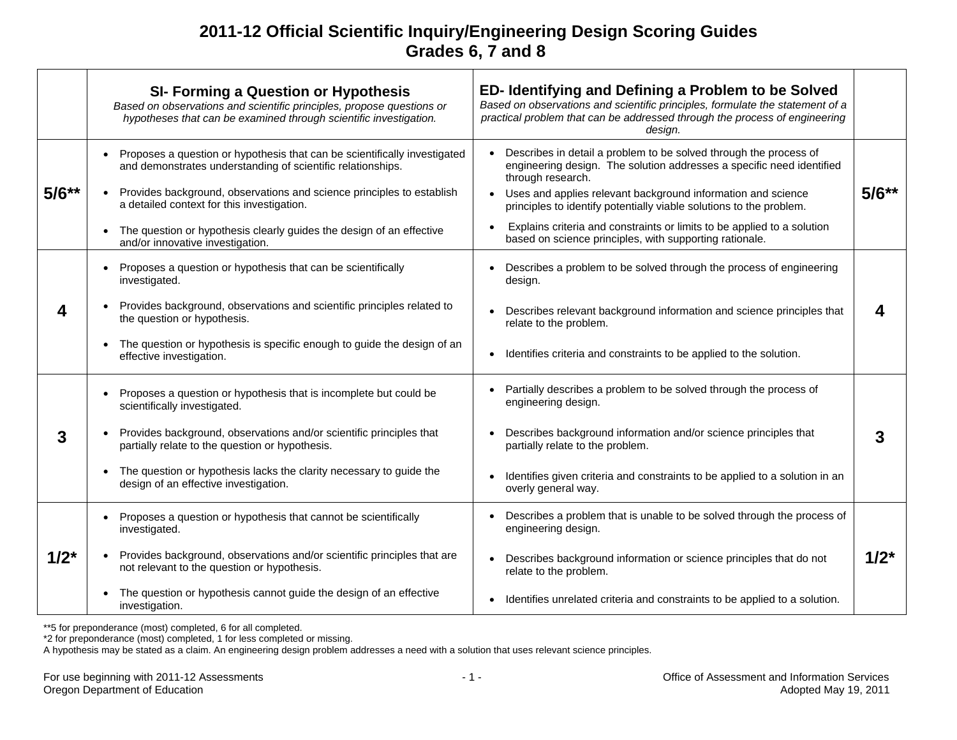|           | <b>SI- Forming a Question or Hypothesis</b><br>Based on observations and scientific principles, propose questions or<br>hypotheses that can be examined through scientific investigation.                                                                                                                                                                | ED- Identifying and Defining a Problem to be Solved<br>Based on observations and scientific principles, formulate the statement of a<br>practical problem that can be addressed through the process of engineering<br>design.                                                                                                                                                                                                                |           |
|-----------|----------------------------------------------------------------------------------------------------------------------------------------------------------------------------------------------------------------------------------------------------------------------------------------------------------------------------------------------------------|----------------------------------------------------------------------------------------------------------------------------------------------------------------------------------------------------------------------------------------------------------------------------------------------------------------------------------------------------------------------------------------------------------------------------------------------|-----------|
| $5/6**$   | Proposes a question or hypothesis that can be scientifically investigated<br>and demonstrates understanding of scientific relationships.<br>Provides background, observations and science principles to establish<br>a detailed context for this investigation.<br>The question or hypothesis clearly guides the design of an effective                  | Describes in detail a problem to be solved through the process of<br>engineering design. The solution addresses a specific need identified<br>through research.<br>Uses and applies relevant background information and science<br>principles to identify potentially viable solutions to the problem.<br>Explains criteria and constraints or limits to be applied to a solution<br>based on science principles, with supporting rationale. | $5/6**$   |
| 4         | and/or innovative investigation.<br>Proposes a question or hypothesis that can be scientifically<br>investigated.<br>Provides background, observations and scientific principles related to<br>the question or hypothesis.<br>The question or hypothesis is specific enough to guide the design of an<br>effective investigation.                        | Describes a problem to be solved through the process of engineering<br>design.<br>Describes relevant background information and science principles that<br>relate to the problem.<br>Identifies criteria and constraints to be applied to the solution.<br>$\bullet$                                                                                                                                                                         | 4         |
| 3         | Proposes a question or hypothesis that is incomplete but could be<br>$\bullet$<br>scientifically investigated.<br>Provides background, observations and/or scientific principles that<br>partially relate to the question or hypothesis.<br>The question or hypothesis lacks the clarity necessary to guide the<br>design of an effective investigation. | Partially describes a problem to be solved through the process of<br>engineering design.<br>Describes background information and/or science principles that<br>partially relate to the problem.<br>Identifies given criteria and constraints to be applied to a solution in an<br>overly general way.                                                                                                                                        | 3         |
| $1/2^{*}$ | Proposes a question or hypothesis that cannot be scientifically<br>$\bullet$<br>investigated.<br>Provides background, observations and/or scientific principles that are<br>not relevant to the question or hypothesis.<br>The question or hypothesis cannot guide the design of an effective<br>investigation.                                          | Describes a problem that is unable to be solved through the process of<br>engineering design.<br>Describes background information or science principles that do not<br>relate to the problem.<br>Identifies unrelated criteria and constraints to be applied to a solution.<br>$\bullet$                                                                                                                                                     | $1/2^{*}$ |

\*\*5 for preponderance (most) completed, 6 for all completed.

\*2 for preponderance (most) completed, 1 for less completed or missing.

A hypothesis may be stated as a claim. An engineering design problem addresses a need with a solution that uses relevant science principles.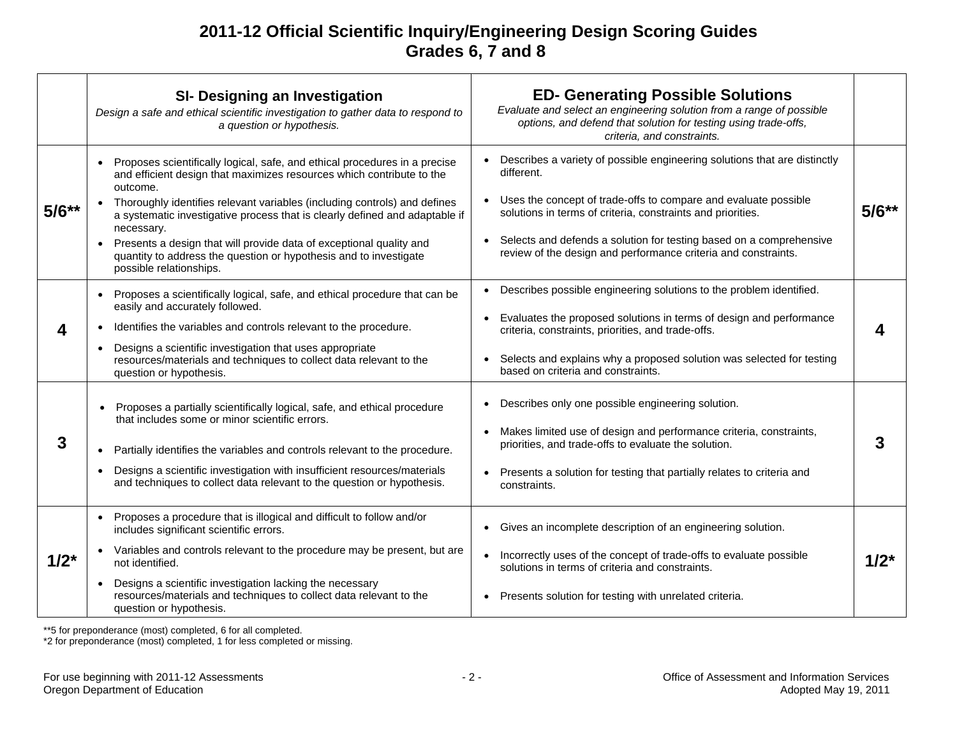|           | <b>SI- Designing an Investigation</b><br>Design a safe and ethical scientific investigation to gather data to respond to<br>a question or hypothesis.                                                                                                                                                                                                                                                                                                                                                                         | <b>ED- Generating Possible Solutions</b><br>Evaluate and select an engineering solution from a range of possible<br>options, and defend that solution for testing using trade-offs,<br>criteria, and constraints.                                                                                                                                                  |           |
|-----------|-------------------------------------------------------------------------------------------------------------------------------------------------------------------------------------------------------------------------------------------------------------------------------------------------------------------------------------------------------------------------------------------------------------------------------------------------------------------------------------------------------------------------------|--------------------------------------------------------------------------------------------------------------------------------------------------------------------------------------------------------------------------------------------------------------------------------------------------------------------------------------------------------------------|-----------|
| $5/6**$   | Proposes scientifically logical, safe, and ethical procedures in a precise<br>$\bullet$<br>and efficient design that maximizes resources which contribute to the<br>outcome.<br>Thoroughly identifies relevant variables (including controls) and defines<br>a systematic investigative process that is clearly defined and adaptable if<br>necessary.<br>Presents a design that will provide data of exceptional quality and<br>quantity to address the question or hypothesis and to investigate<br>possible relationships. | Describes a variety of possible engineering solutions that are distinctly<br>different.<br>Uses the concept of trade-offs to compare and evaluate possible<br>solutions in terms of criteria, constraints and priorities.<br>Selects and defends a solution for testing based on a comprehensive<br>review of the design and performance criteria and constraints. | $5/6**$   |
|           | Proposes a scientifically logical, safe, and ethical procedure that can be<br>$\bullet$<br>easily and accurately followed.<br>Identifies the variables and controls relevant to the procedure.<br>Designs a scientific investigation that uses appropriate<br>resources/materials and techniques to collect data relevant to the<br>question or hypothesis.                                                                                                                                                                   | • Describes possible engineering solutions to the problem identified.<br>Evaluates the proposed solutions in terms of design and performance<br>criteria, constraints, priorities, and trade-offs.<br>Selects and explains why a proposed solution was selected for testing<br>based on criteria and constraints.                                                  |           |
| 3         | Proposes a partially scientifically logical, safe, and ethical procedure<br>that includes some or minor scientific errors.<br>Partially identifies the variables and controls relevant to the procedure.<br>$\bullet$<br>Designs a scientific investigation with insufficient resources/materials<br>$\bullet$<br>and techniques to collect data relevant to the question or hypothesis.                                                                                                                                      | Describes only one possible engineering solution.<br>Makes limited use of design and performance criteria, constraints,<br>priorities, and trade-offs to evaluate the solution.<br>Presents a solution for testing that partially relates to criteria and<br>constraints.                                                                                          | 3         |
| $1/2^{*}$ | Proposes a procedure that is illogical and difficult to follow and/or<br>includes significant scientific errors.<br>Variables and controls relevant to the procedure may be present, but are<br>not identified.<br>Designs a scientific investigation lacking the necessary<br>resources/materials and techniques to collect data relevant to the<br>question or hypothesis.                                                                                                                                                  | • Gives an incomplete description of an engineering solution.<br>• Incorrectly uses of the concept of trade-offs to evaluate possible<br>solutions in terms of criteria and constraints.<br>• Presents solution for testing with unrelated criteria.                                                                                                               | $1/2^{*}$ |

\*\*5 for preponderance (most) completed, 6 for all completed.

\*2 for preponderance (most) completed, 1 for less completed or missing.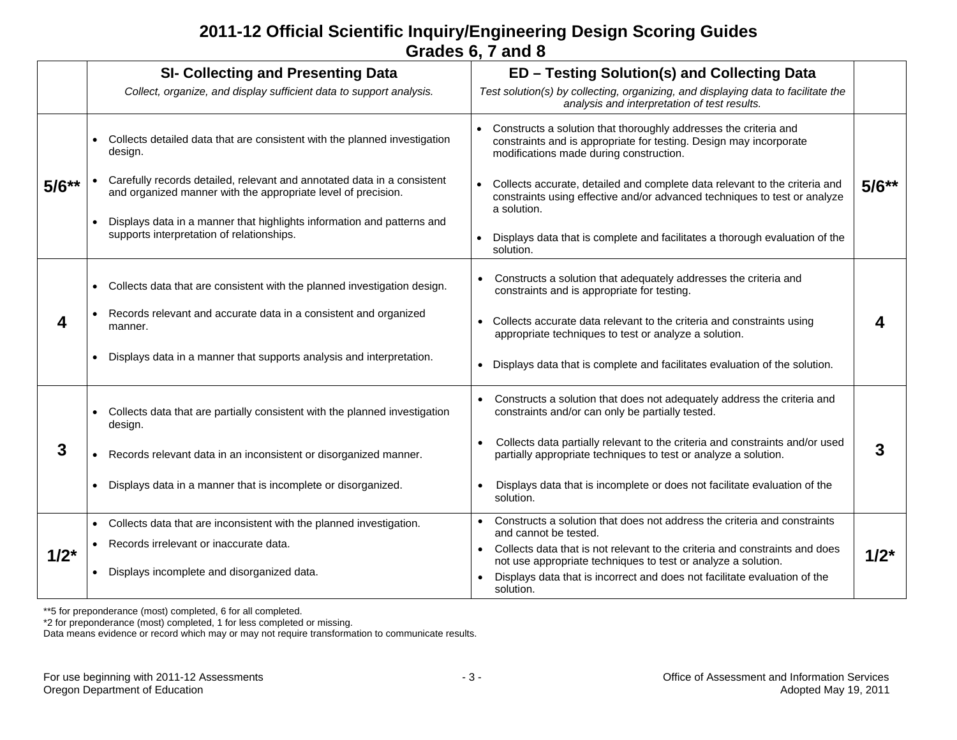|           | <b>SI- Collecting and Presenting Data</b><br>Collect, organize, and display sufficient data to support analysis.                         | ED - Testing Solution(s) and Collecting Data<br>Test solution(s) by collecting, organizing, and displaying data to facilitate the<br>analysis and interpretation of test results. |           |
|-----------|------------------------------------------------------------------------------------------------------------------------------------------|-----------------------------------------------------------------------------------------------------------------------------------------------------------------------------------|-----------|
|           | Collects detailed data that are consistent with the planned investigation<br>design.                                                     | Constructs a solution that thoroughly addresses the criteria and<br>constraints and is appropriate for testing. Design may incorporate<br>modifications made during construction. |           |
| $5/6**$   | Carefully records detailed, relevant and annotated data in a consistent<br>and organized manner with the appropriate level of precision. | Collects accurate, detailed and complete data relevant to the criteria and<br>constraints using effective and/or advanced techniques to test or analyze<br>a solution.            | $5/6**$   |
|           | Displays data in a manner that highlights information and patterns and<br>supports interpretation of relationships.                      | Displays data that is complete and facilitates a thorough evaluation of the<br>solution.                                                                                          |           |
| 4         | Collects data that are consistent with the planned investigation design.                                                                 | Constructs a solution that adequately addresses the criteria and<br>constraints and is appropriate for testing.                                                                   |           |
|           | Records relevant and accurate data in a consistent and organized<br>manner.                                                              | Collects accurate data relevant to the criteria and constraints using<br>appropriate techniques to test or analyze a solution.                                                    | Δ         |
|           | Displays data in a manner that supports analysis and interpretation.                                                                     | Displays data that is complete and facilitates evaluation of the solution.                                                                                                        |           |
| 3         | Collects data that are partially consistent with the planned investigation<br>design.                                                    | Constructs a solution that does not adequately address the criteria and<br>constraints and/or can only be partially tested.                                                       |           |
|           | Records relevant data in an inconsistent or disorganized manner.                                                                         | Collects data partially relevant to the criteria and constraints and/or used<br>partially appropriate techniques to test or analyze a solution.                                   | 3         |
|           | Displays data in a manner that is incomplete or disorganized.                                                                            | Displays data that is incomplete or does not facilitate evaluation of the<br>$\bullet$<br>solution.                                                                               |           |
| $1/2^{*}$ | Collects data that are inconsistent with the planned investigation.                                                                      | Constructs a solution that does not address the criteria and constraints<br>and cannot be tested.                                                                                 |           |
|           | Records irrelevant or inaccurate data.                                                                                                   | Collects data that is not relevant to the criteria and constraints and does                                                                                                       |           |
|           | Displays incomplete and disorganized data.<br>$\bullet$                                                                                  | not use appropriate techniques to test or analyze a solution.<br>Displays data that is incorrect and does not facilitate evaluation of the<br>solution.                           | $1/2^{*}$ |

\*\*5 for preponderance (most) completed, 6 for all completed.

\*2 for preponderance (most) completed, 1 for less completed or missing.

Data means evidence or record which may or may not require transformation to communicate results.